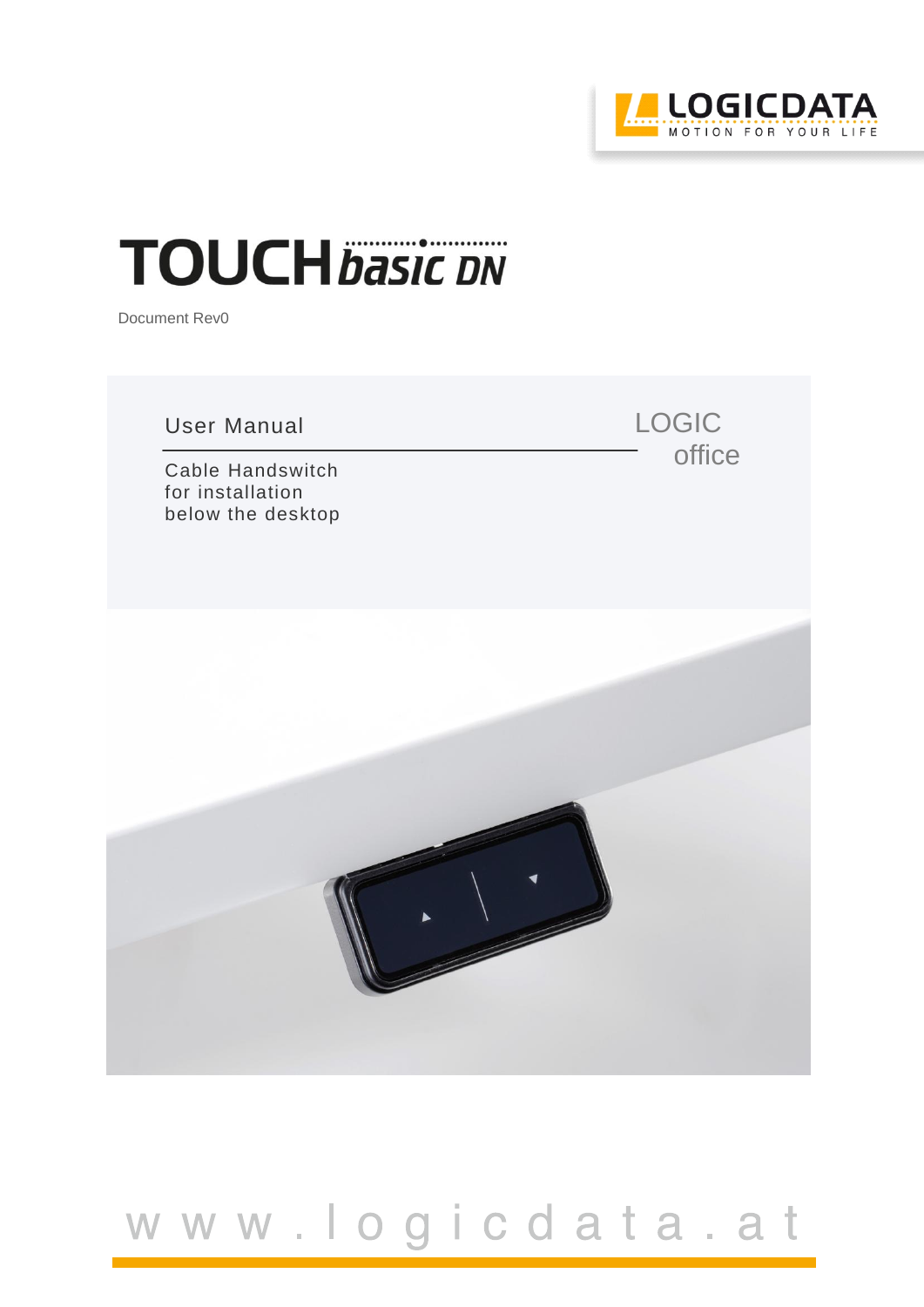

LOGIC

office

# **TOUCH** basic DN

Document Rev0

User Manual

Cable Handswitch for installation below the desktop



# www.logicdata.at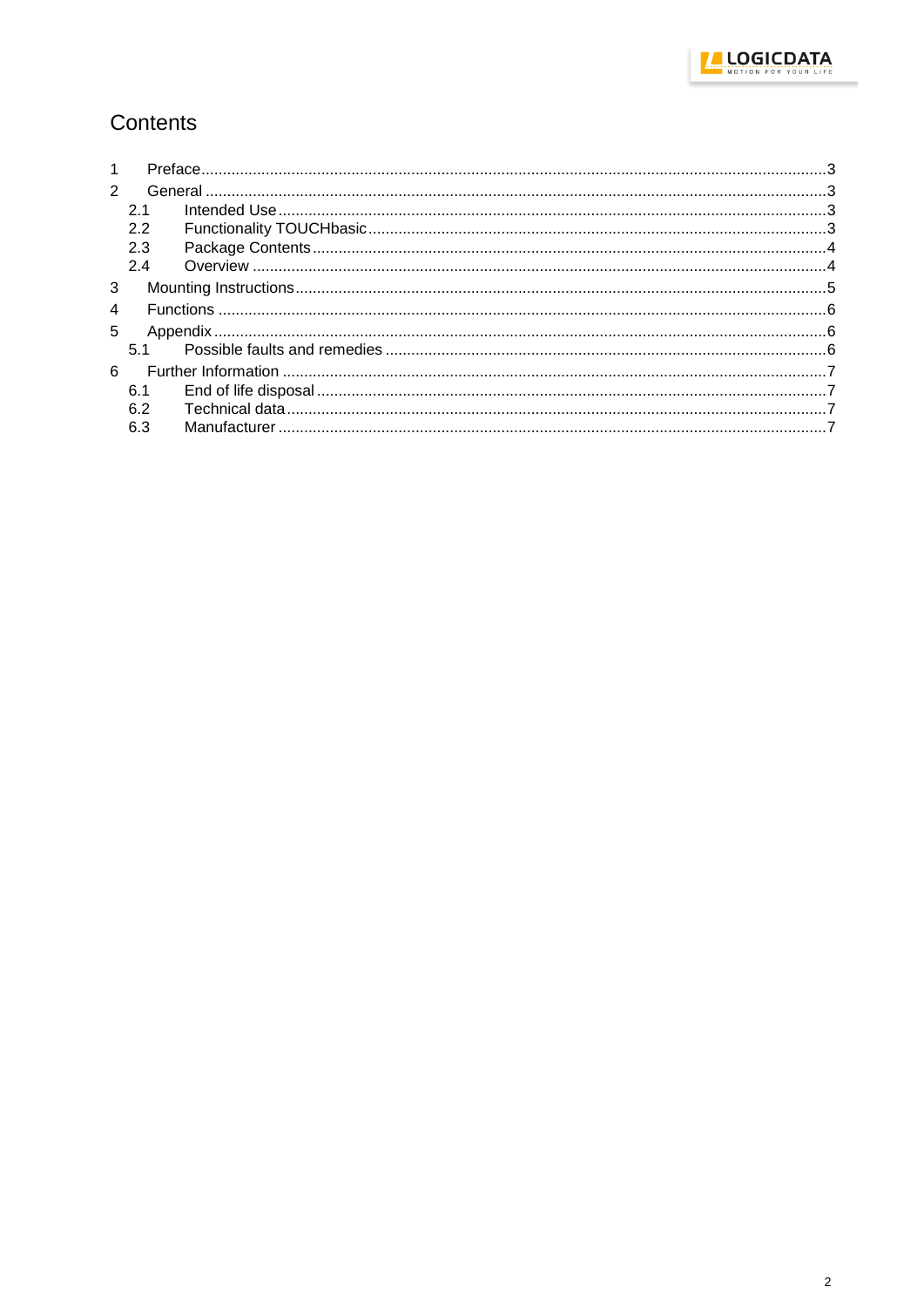

### Contents

| 1              |     |  |  |  |
|----------------|-----|--|--|--|
| $\mathcal{P}$  |     |  |  |  |
|                | 2.1 |  |  |  |
|                | 2.2 |  |  |  |
|                | 2.3 |  |  |  |
|                | 2.4 |  |  |  |
| 3              |     |  |  |  |
| $\overline{4}$ |     |  |  |  |
| 5              |     |  |  |  |
|                | 51  |  |  |  |
| 6              |     |  |  |  |
|                | 6.1 |  |  |  |
|                | 6.2 |  |  |  |
|                | 6.3 |  |  |  |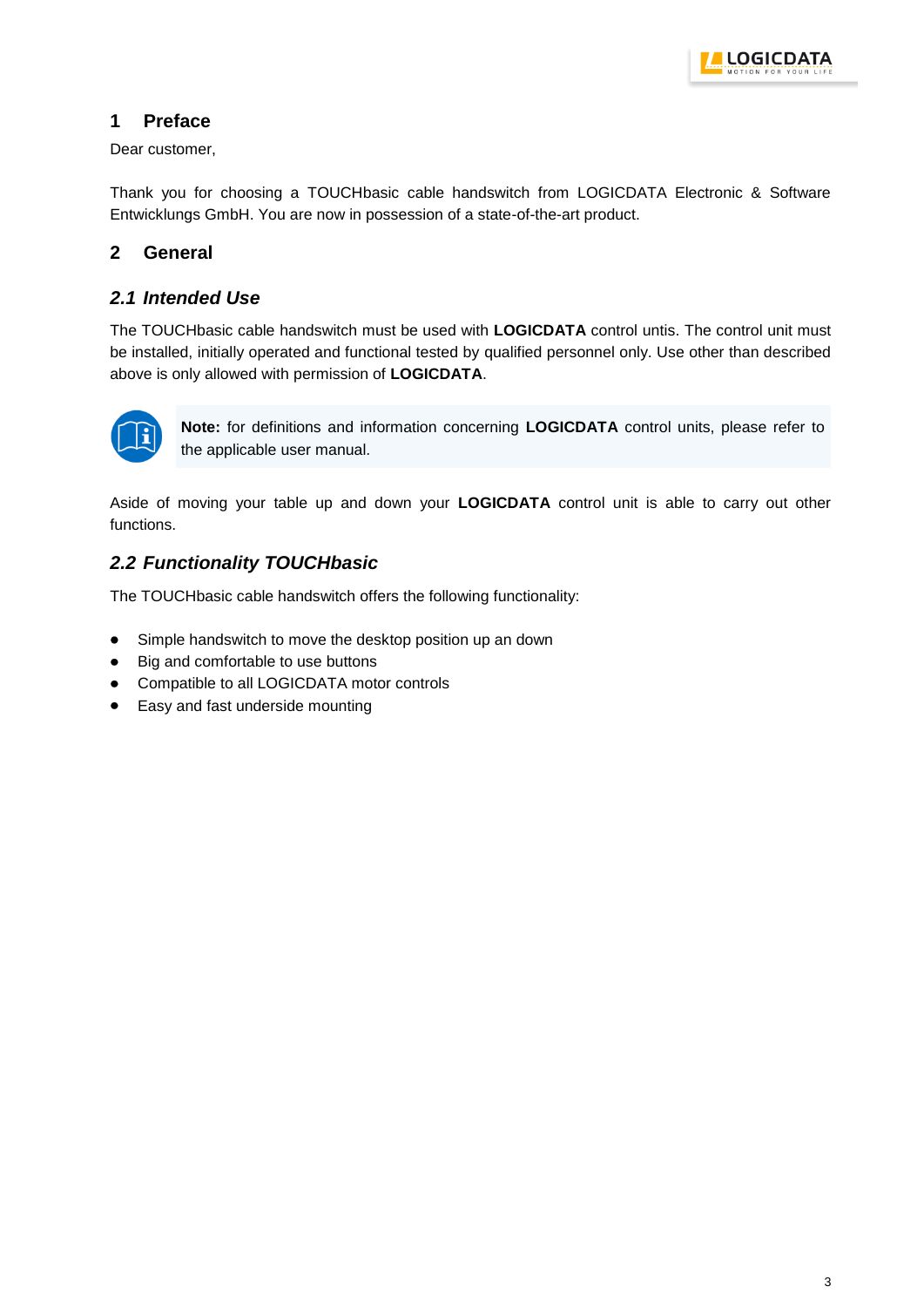

#### <span id="page-2-0"></span>**1 Preface**

Dear customer,

Thank you for choosing a TOUCHbasic cable handswitch from LOGICDATA Electronic & Software Entwicklungs GmbH. You are now in possession of a state-of-the-art product.

#### <span id="page-2-1"></span>**2 General**

#### <span id="page-2-2"></span>*2.1 Intended Use*

The TOUCHbasic cable handswitch must be used with **LOGICDATA** control untis. The control unit must be installed, initially operated and functional tested by qualified personnel only. Use other than described above is only allowed with permission of **LOGICDATA**.



**Note:** for definitions and information concerning **LOGICDATA** control units, please refer to the applicable user manual.

Aside of moving your table up and down your **LOGICDATA** control unit is able to carry out other functions.

#### <span id="page-2-3"></span>*2.2 Functionality TOUCHbasic*

The TOUCHbasic cable handswitch offers the following functionality:

- Simple handswitch to move the desktop position up an down  $\bullet$
- Big and comfortable to use buttons
- Compatible to all LOGICDATA motor controls
- $\bullet$ Easy and fast underside mounting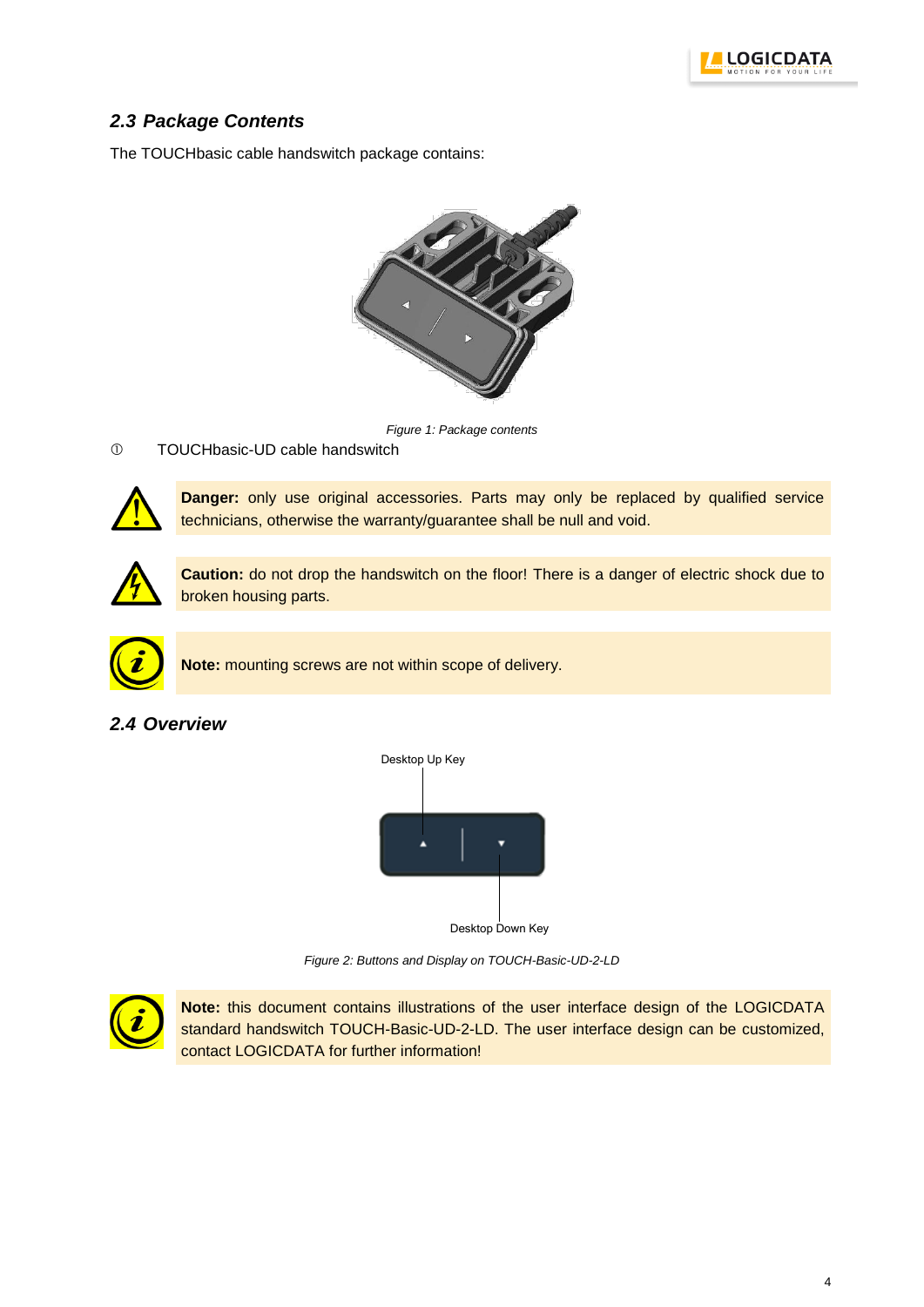

#### <span id="page-3-0"></span>*2.3 Package Contents*

The TOUCHbasic cable handswitch package contains:



*Figure 1: Package contents*

#### TOUCHbasic-UD cable handswitch



**Danger:** only use original accessories. Parts may only be replaced by qualified service technicians, otherwise the warranty/guarantee shall be null and void.



**Caution:** do not drop the handswitch on the floor! There is a danger of electric shock due to broken housing parts.



**Note:** mounting screws are not within scope of delivery.

#### <span id="page-3-1"></span>*2.4 Overview*



Desktop Down Key

*Figure 2: Buttons and Display on TOUCH-Basic-UD-2-LD*



**Note:** this document contains illustrations of the user interface design of the LOGICDATA standard handswitch TOUCH-Basic-UD-2-LD. The user interface design can be customized, contact LOGICDATA for further information!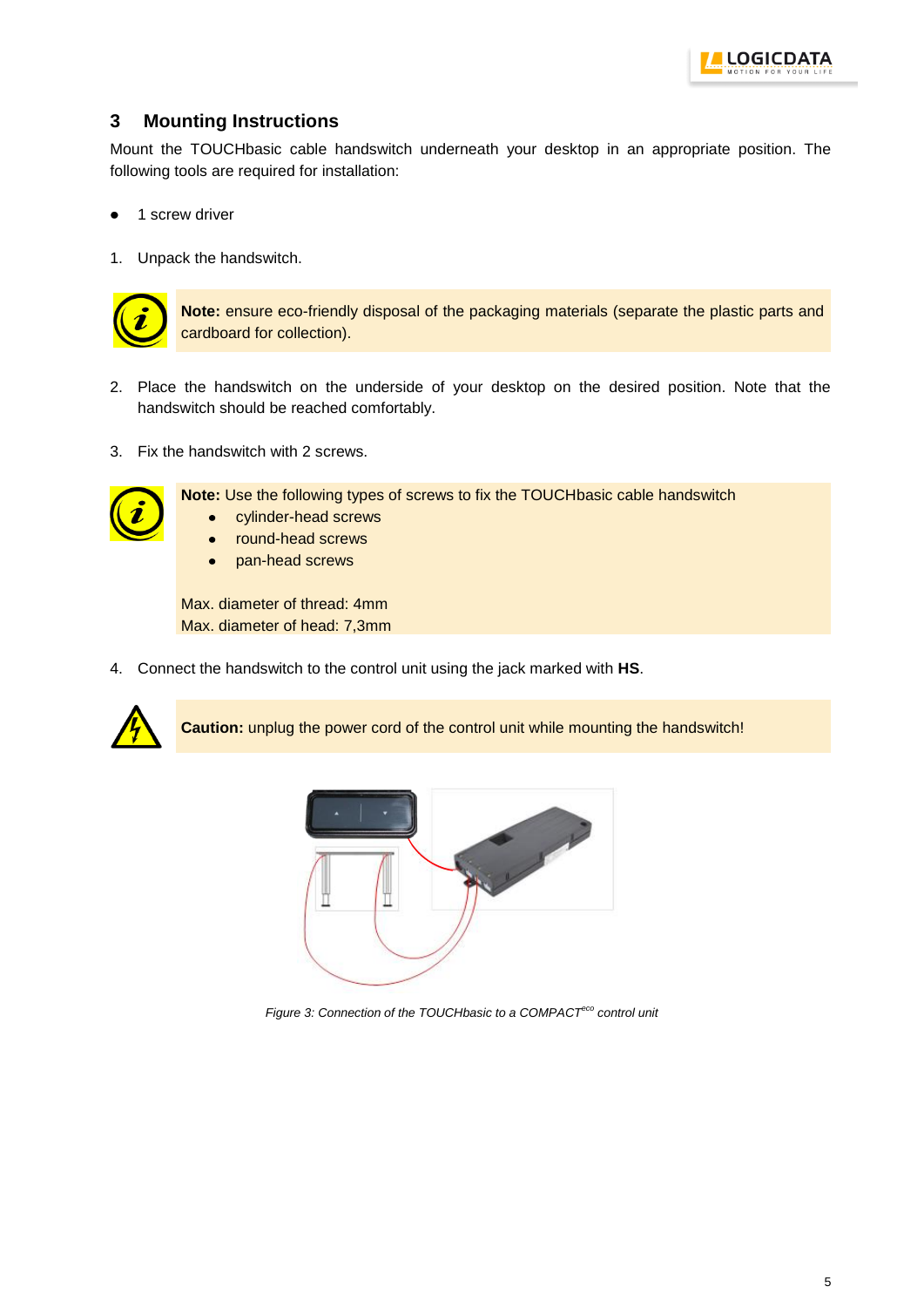

#### <span id="page-4-0"></span>**3 Mounting Instructions**

Mount the TOUCHbasic cable handswitch underneath your desktop in an appropriate position. The following tools are required for installation:

- 1 screw driver
- 1. Unpack the handswitch.



**Note:** ensure eco-friendly disposal of the packaging materials (separate the plastic parts and cardboard for collection).

- 2. Place the handswitch on the underside of your desktop on the desired position. Note that the handswitch should be reached comfortably.
- 3. Fix the handswitch with 2 screws.



**Note:** Use the following types of screws to fix the TOUCHbasic cable handswitch

- cylinder-head screws  $\bullet$ 
	- round-head screws
- pan-head screws  $\bullet$

Max. diameter of thread: 4mm Max. diameter of head: 7,3mm

4. Connect the handswitch to the control unit using the jack marked with **HS**.



**Caution:** unplug the power cord of the control unit while mounting the handswitch!



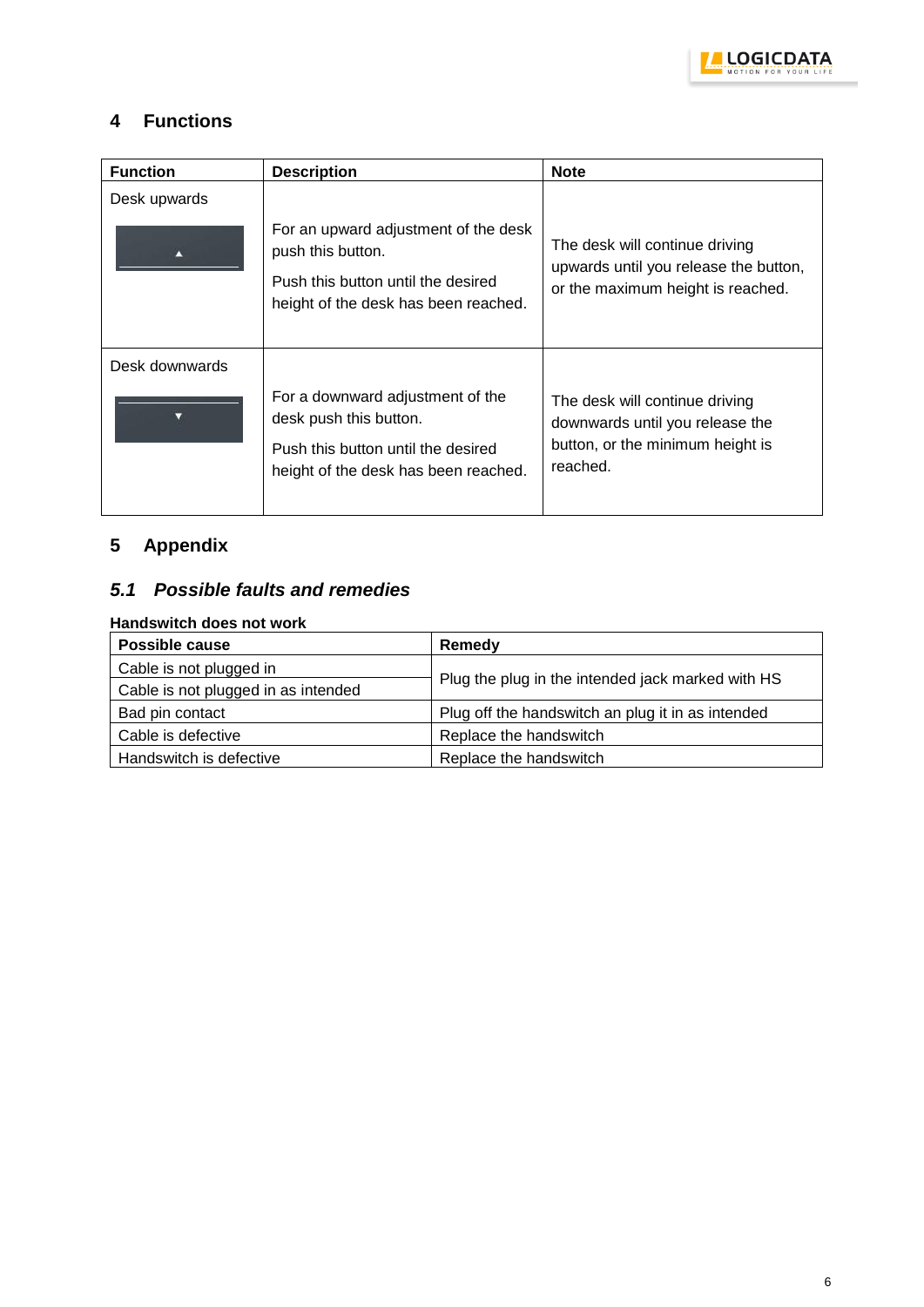

#### <span id="page-5-0"></span>**4 Functions**

| <b>Function</b> | <b>Description</b>                                                                                                                       | <b>Note</b>                                                                                                       |
|-----------------|------------------------------------------------------------------------------------------------------------------------------------------|-------------------------------------------------------------------------------------------------------------------|
| Desk upwards    | For an upward adjustment of the desk<br>push this button.<br>Push this button until the desired<br>height of the desk has been reached.  | The desk will continue driving<br>upwards until you release the button,<br>or the maximum height is reached.      |
| Desk downwards  | For a downward adjustment of the<br>desk push this button.<br>Push this button until the desired<br>height of the desk has been reached. | The desk will continue driving<br>downwards until you release the<br>button, or the minimum height is<br>reached. |

## <span id="page-5-1"></span>**5 Appendix**

#### <span id="page-5-2"></span>*5.1 Possible faults and remedies*

**Handswitch does not work**

| Possible cause                      | Remedy                                            |  |
|-------------------------------------|---------------------------------------------------|--|
| Cable is not plugged in             | Plug the plug in the intended jack marked with HS |  |
| Cable is not plugged in as intended |                                                   |  |
| Bad pin contact                     | Plug off the handswitch an plug it in as intended |  |
| Cable is defective                  | Replace the handswitch                            |  |
| Handswitch is defective             | Replace the handswitch                            |  |